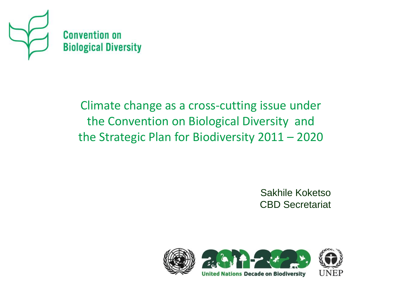

Climate change as a cross-cutting issue under the Convention on Biological Diversity and the Strategic Plan for Biodiversity 2011 – 2020

> Sakhile Koketso CBD Secretariat

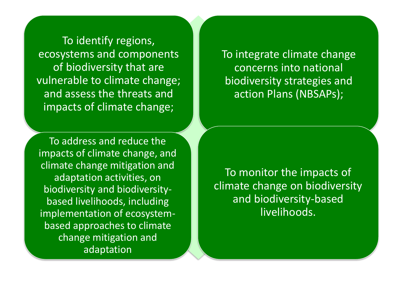To identify regions, ecosystems and components of biodiversity that are vulnerable to climate change; and assess the threats and impacts of climate change;

To address and reduce the impacts of climate change, and climate change mitigation and adaptation activities, on biodiversity and biodiversitybased livelihoods, including implementation of ecosystembased approaches to climate change mitigation and adaptation

To integrate climate change concerns into national biodiversity strategies and action Plans (NBSAPs);

To monitor the impacts of climate change on biodiversity and biodiversity-based livelihoods.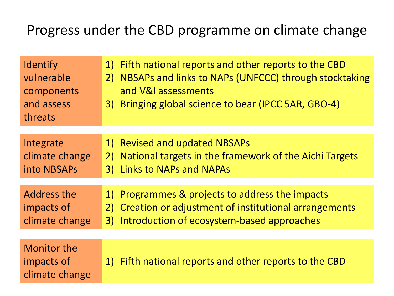## Progress under the CBD programme on climate change

| Identify<br>vulnerable<br>components<br>and assess<br>threats | 1) Fifth national reports and other reports to the CBD<br>NBSAPs and links to NAPs (UNFCCC) through stocktaking<br>2)<br>and V&I assessments<br>3) Bringing global science to bear (IPCC 5AR, GBO-4) |
|---------------------------------------------------------------|------------------------------------------------------------------------------------------------------------------------------------------------------------------------------------------------------|
| Integrate<br>climate change<br>into NBSAPs                    | 1) Revised and updated NBSAPs<br>National targets in the framework of the Aichi Targets<br>2)<br><b>Links to NAPs and NAPAs</b><br>3)                                                                |
| Address the<br>impacts of<br>climate change                   | 1) Programmes & projects to address the impacts<br>Creation or adjustment of institutional arrangements<br>2)<br>3) Introduction of ecosystem-based approaches                                       |
| <b>Monitor the</b><br>impacts of<br>climate change            | 1) Fifth national reports and other reports to the CBD                                                                                                                                               |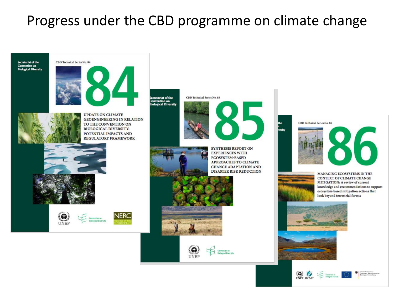## Progress under the CBD programme on climate change

Secretariat of the **Convention on**<br>**Biological Diversity** 

#### CBD Technical Series No. 84



**UPDATE ON CLIMATE GEOENGINEERING IN RELATION** TO THE CONVENTION ON **BIOLOGICAL DIVERSITY:** POTENTIAL IMPACTS AND **REGULATORY FRAMEWORK** 











**SYNTHESIS REPORT ON EXPERIENCES WITH ECOSYSTEM-BASED** APPROACHES TO CLIMATE **CHANGE ADAPTATION AND** DISASTER RISK REDUCTION









MANAGING ECOSYSTEMS IN THE **CONTEXT OF CLIMATE CHANGE** MITIGATION: A review of current knowledge and recommendations to support ecosystem-based mitigation actions that look beyond terrestrial forests



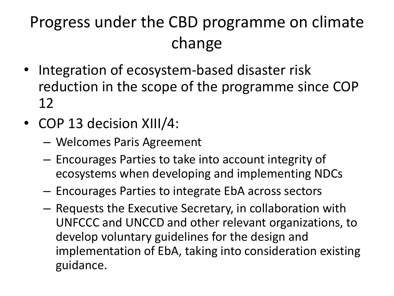# Progress under the CBD programme on climate change

- Integration of ecosystem-based disaster risk reduction in the scope of the programme since COP 12
- COP 13 decision XIII/4:
	- Welcomes Paris Agreement
	- Encourages Parties to take into account integrity of ecosystems when developing and implementing NDCs
	- Encourages Parties to integrate EbA across sectors
	- Requests the Executive Secretary, in collaboration with UNFCCC and UNCCD and other relevant organizations, to develop voluntary guidelines for the design and implementation of EbA, taking into consideration existing guidance.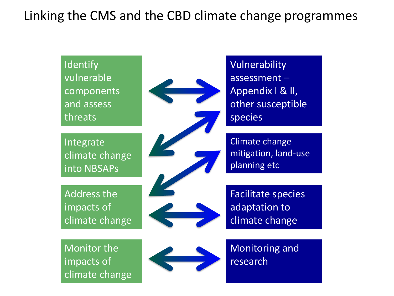### Linking the CMS and the CBD climate change programmes